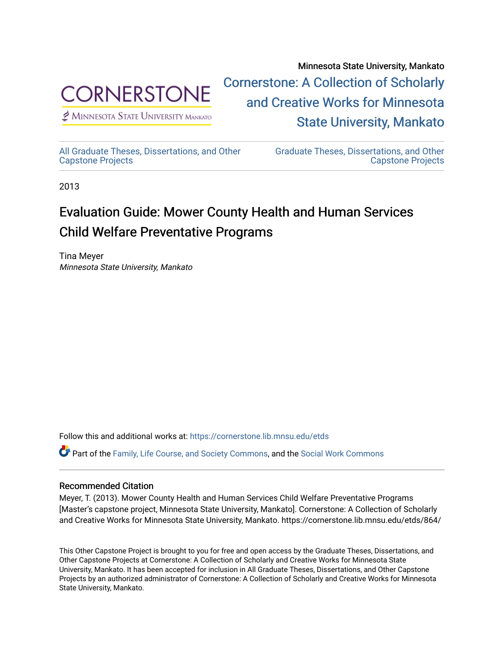

 $<sup>2</sup>$  Minnesota State University Mankato</sup>

Minnesota State University, Mankato [Cornerstone: A Collection of Scholarly](https://cornerstone.lib.mnsu.edu/)  [and Creative Works for Minnesota](https://cornerstone.lib.mnsu.edu/)  [State University, Mankato](https://cornerstone.lib.mnsu.edu/) 

[All Graduate Theses, Dissertations, and Other](https://cornerstone.lib.mnsu.edu/etds)  [Capstone Projects](https://cornerstone.lib.mnsu.edu/etds) 

[Graduate Theses, Dissertations, and Other](https://cornerstone.lib.mnsu.edu/theses_dissertations-capstone)  [Capstone Projects](https://cornerstone.lib.mnsu.edu/theses_dissertations-capstone) 

2013

## Evaluation Guide: Mower County Health and Human Services Child Welfare Preventative Programs

Tina Meyer Minnesota State University, Mankato

Follow this and additional works at: [https://cornerstone.lib.mnsu.edu/etds](https://cornerstone.lib.mnsu.edu/etds?utm_source=cornerstone.lib.mnsu.edu%2Fetds%2F864&utm_medium=PDF&utm_campaign=PDFCoverPages) 

Part of the [Family, Life Course, and Society Commons,](http://network.bepress.com/hgg/discipline/419?utm_source=cornerstone.lib.mnsu.edu%2Fetds%2F864&utm_medium=PDF&utm_campaign=PDFCoverPages) and the [Social Work Commons](http://network.bepress.com/hgg/discipline/713?utm_source=cornerstone.lib.mnsu.edu%2Fetds%2F864&utm_medium=PDF&utm_campaign=PDFCoverPages) 

### Recommended Citation

Meyer, T. (2013). Mower County Health and Human Services Child Welfare Preventative Programs [Master's capstone project, Minnesota State University, Mankato]. Cornerstone: A Collection of Scholarly and Creative Works for Minnesota State University, Mankato. https://cornerstone.lib.mnsu.edu/etds/864/

This Other Capstone Project is brought to you for free and open access by the Graduate Theses, Dissertations, and Other Capstone Projects at Cornerstone: A Collection of Scholarly and Creative Works for Minnesota State University, Mankato. It has been accepted for inclusion in All Graduate Theses, Dissertations, and Other Capstone Projects by an authorized administrator of Cornerstone: A Collection of Scholarly and Creative Works for Minnesota State University, Mankato.